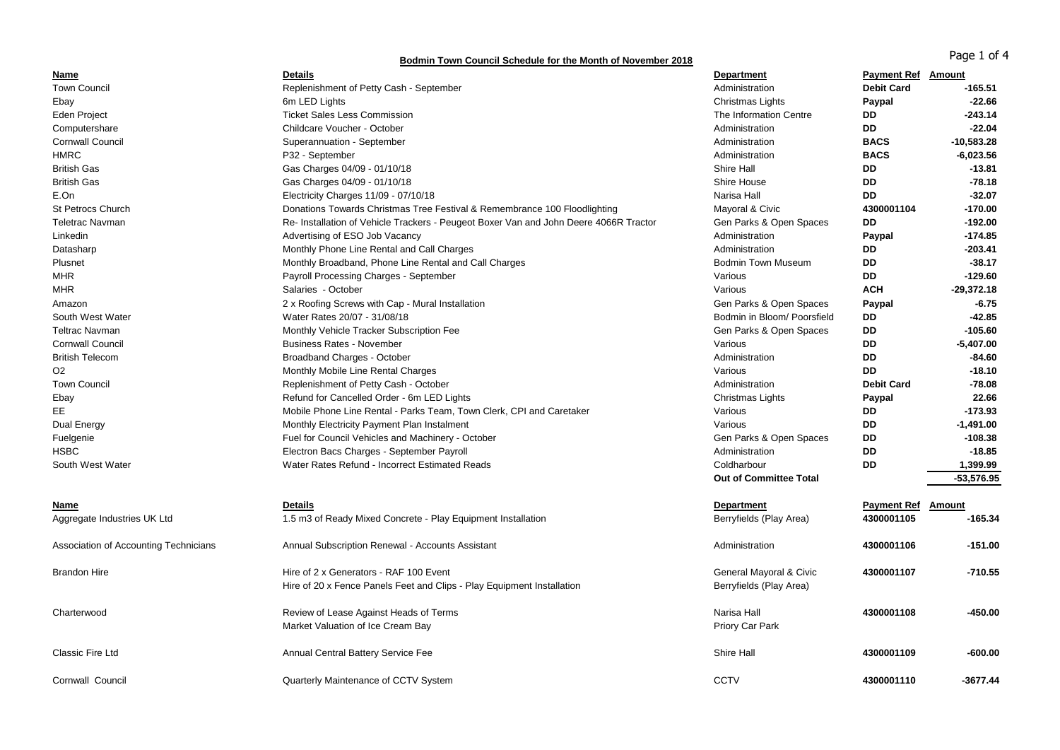## Page 1 of 4 **Bodmin Town Council Schedule for the Month of November 2018**

| Name                                  | <b>Details</b>                                                                                                   | <b>Department</b>                                  | <b>Payment Ref</b> Amount |              |
|---------------------------------------|------------------------------------------------------------------------------------------------------------------|----------------------------------------------------|---------------------------|--------------|
| <b>Town Council</b>                   | Replenishment of Petty Cash - September                                                                          | Administration                                     | <b>Debit Card</b>         | $-165.51$    |
| Ebay                                  | 6m LED Lights                                                                                                    | Christmas Lights                                   | Paypal                    | $-22.66$     |
| Eden Project                          | <b>Ticket Sales Less Commission</b>                                                                              | The Information Centre                             | <b>DD</b>                 | $-243.14$    |
| Computershare                         | Childcare Voucher - October                                                                                      | Administration                                     | DD                        | $-22.04$     |
| <b>Cornwall Council</b>               | Superannuation - September                                                                                       | Administration                                     | <b>BACS</b>               | $-10,583.28$ |
| <b>HMRC</b>                           | P32 - September                                                                                                  | Administration                                     | <b>BACS</b>               | $-6,023.56$  |
| <b>British Gas</b>                    | Gas Charges 04/09 - 01/10/18                                                                                     | Shire Hall                                         | <b>DD</b>                 | $-13.81$     |
| <b>British Gas</b>                    | Gas Charges 04/09 - 01/10/18                                                                                     | Shire House                                        | <b>DD</b>                 | $-78.18$     |
| E.On                                  | Electricity Charges 11/09 - 07/10/18                                                                             | Narisa Hall                                        | <b>DD</b>                 | $-32.07$     |
| <b>St Petrocs Church</b>              | Donations Towards Christmas Tree Festival & Remembrance 100 Floodlighting                                        | Mayoral & Civic                                    | 4300001104                | $-170.00$    |
| <b>Teletrac Navman</b>                | Re- Installation of Vehicle Trackers - Peugeot Boxer Van and John Deere 4066R Tractor                            | Gen Parks & Open Spaces                            | DD                        | $-192.00$    |
| Linkedin                              | Advertising of ESO Job Vacancy                                                                                   | Administration                                     | Paypal                    | $-174.85$    |
| Datasharp                             | Monthly Phone Line Rental and Call Charges                                                                       | Administration                                     | DD                        | $-203.41$    |
| Plusnet                               | Monthly Broadband, Phone Line Rental and Call Charges                                                            | <b>Bodmin Town Museum</b>                          | DD                        | $-38.17$     |
| <b>MHR</b>                            | Payroll Processing Charges - September                                                                           | Various                                            | DD                        | $-129.60$    |
| <b>MHR</b>                            | Salaries - October                                                                                               | Various                                            | <b>ACH</b>                | $-29,372.18$ |
| Amazon                                | 2 x Roofing Screws with Cap - Mural Installation                                                                 | Gen Parks & Open Spaces                            | Paypal                    | $-6.75$      |
| South West Water                      | Water Rates 20/07 - 31/08/18                                                                                     | Bodmin in Bloom/ Poorsfield                        | DD                        | -42.85       |
| <b>Teltrac Navman</b>                 | Monthly Vehicle Tracker Subscription Fee                                                                         | Gen Parks & Open Spaces                            | DD                        | $-105.60$    |
| <b>Cornwall Council</b>               | <b>Business Rates - November</b>                                                                                 | Various                                            | <b>DD</b>                 | $-5,407.00$  |
| <b>British Telecom</b>                | Broadband Charges - October                                                                                      | Administration                                     | DD                        | -84.60       |
| O <sub>2</sub>                        | Monthly Mobile Line Rental Charges                                                                               | Various                                            | <b>DD</b>                 | $-18.10$     |
| <b>Town Council</b>                   | Replenishment of Petty Cash - October                                                                            | Administration                                     | <b>Debit Card</b>         | $-78.08$     |
| Ebay                                  | Refund for Cancelled Order - 6m LED Lights                                                                       | Christmas Lights                                   | Paypal                    | 22.66        |
| EE.                                   | Mobile Phone Line Rental - Parks Team, Town Clerk, CPI and Caretaker                                             | Various                                            | DD                        | $-173.93$    |
| Dual Energy                           | Monthly Electricity Payment Plan Instalment                                                                      | Various                                            | <b>DD</b>                 | $-1,491.00$  |
| Fuelgenie                             | Fuel for Council Vehicles and Machinery - October                                                                | Gen Parks & Open Spaces                            | DD                        | $-108.38$    |
| <b>HSBC</b>                           | Electron Bacs Charges - September Payroll                                                                        | Administration                                     | DD                        | $-18.85$     |
| South West Water                      | Water Rates Refund - Incorrect Estimated Reads                                                                   | Coldharbour                                        | DD                        | 1,399.99     |
|                                       |                                                                                                                  | <b>Out of Committee Total</b>                      |                           | $-53,576.95$ |
| Name                                  | <b>Details</b>                                                                                                   | <b>Department</b>                                  | <b>Payment Ref</b>        | Amount       |
| Aggregate Industries UK Ltd           | 1.5 m3 of Ready Mixed Concrete - Play Equipment Installation                                                     | Berryfields (Play Area)                            | 4300001105                | $-165.34$    |
| Association of Accounting Technicians | Annual Subscription Renewal - Accounts Assistant                                                                 | Administration                                     | 4300001106                | -151.00      |
| <b>Brandon Hire</b>                   | Hire of 2 x Generators - RAF 100 Event<br>Hire of 20 x Fence Panels Feet and Clips - Play Equipment Installation | General Mayoral & Civic<br>Berryfields (Play Area) | 4300001107                | -710.55      |
| Charterwood                           | Review of Lease Against Heads of Terms<br>Market Valuation of Ice Cream Bay                                      | Narisa Hall<br>Priory Car Park                     | 4300001108                | -450.00      |
| Classic Fire Ltd                      | <b>Annual Central Battery Service Fee</b>                                                                        | <b>Shire Hall</b>                                  | 4300001109                | $-600.00$    |
|                                       |                                                                                                                  |                                                    |                           |              |

Cornwall Council **1992 Council** Council Council Quarterly Maintenance of CCTV System **CCTV** CCTV CCTV **4300001110** -3677.44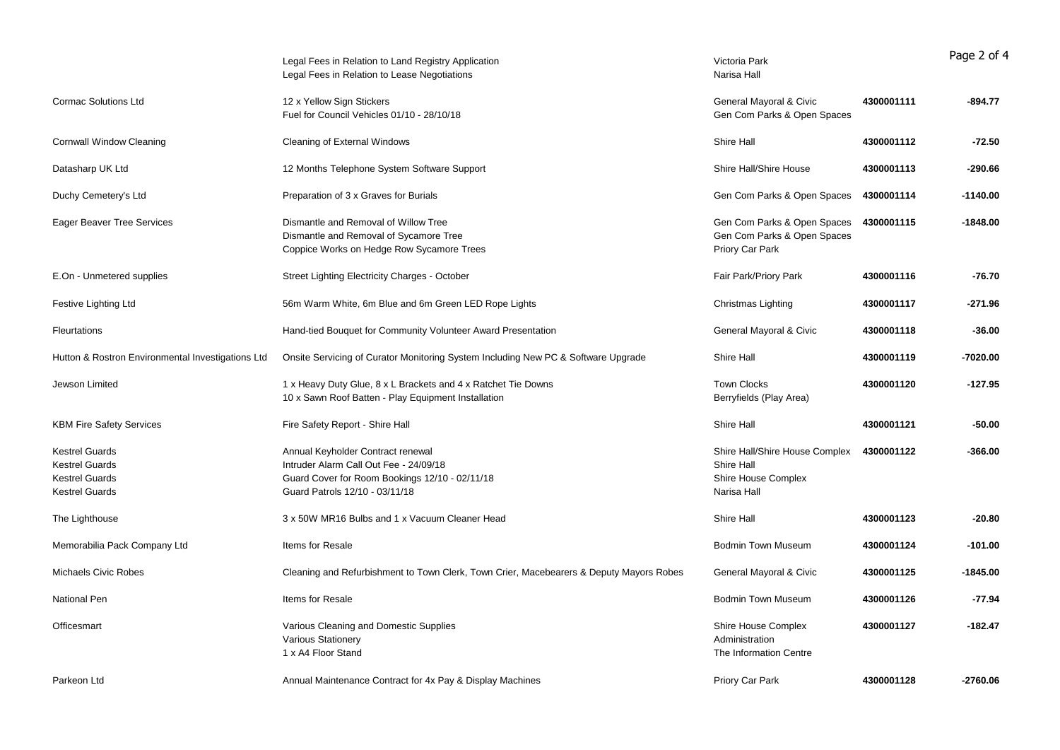|                                                                                                  | Legal Fees in Relation to Land Registry Application<br>Legal Fees in Relation to Lease Negotiations                                                             | Victoria Park<br>Narisa Hall                                                       |            | Page 2 of 4 |
|--------------------------------------------------------------------------------------------------|-----------------------------------------------------------------------------------------------------------------------------------------------------------------|------------------------------------------------------------------------------------|------------|-------------|
| <b>Cormac Solutions Ltd</b>                                                                      | 12 x Yellow Sign Stickers<br>Fuel for Council Vehicles 01/10 - 28/10/18                                                                                         | General Mayoral & Civic<br>Gen Com Parks & Open Spaces                             | 4300001111 | $-894.77$   |
| <b>Cornwall Window Cleaning</b>                                                                  | Cleaning of External Windows                                                                                                                                    | Shire Hall                                                                         | 4300001112 | $-72.50$    |
| Datasharp UK Ltd                                                                                 | 12 Months Telephone System Software Support                                                                                                                     | Shire Hall/Shire House                                                             | 4300001113 | $-290.66$   |
| Duchy Cemetery's Ltd                                                                             | Preparation of 3 x Graves for Burials                                                                                                                           | Gen Com Parks & Open Spaces                                                        | 4300001114 | $-1140.00$  |
| Eager Beaver Tree Services                                                                       | Dismantle and Removal of Willow Tree<br>Dismantle and Removal of Sycamore Tree<br>Coppice Works on Hedge Row Sycamore Trees                                     | Gen Com Parks & Open Spaces<br>Gen Com Parks & Open Spaces<br>Priory Car Park      | 4300001115 | $-1848.00$  |
| E.On - Unmetered supplies                                                                        | Street Lighting Electricity Charges - October                                                                                                                   | Fair Park/Priory Park                                                              | 4300001116 | $-76.70$    |
| Festive Lighting Ltd                                                                             | 56m Warm White, 6m Blue and 6m Green LED Rope Lights                                                                                                            | Christmas Lighting                                                                 | 4300001117 | $-271.96$   |
| <b>Fleurtations</b>                                                                              | Hand-tied Bouquet for Community Volunteer Award Presentation                                                                                                    | General Mayoral & Civic                                                            | 4300001118 | $-36.00$    |
| Hutton & Rostron Environmental Investigations Ltd                                                | Onsite Servicing of Curator Monitoring System Including New PC & Software Upgrade                                                                               | Shire Hall                                                                         | 4300001119 | $-7020.00$  |
| Jewson Limited                                                                                   | 1 x Heavy Duty Glue, 8 x L Brackets and 4 x Ratchet Tie Downs<br>10 x Sawn Roof Batten - Play Equipment Installation                                            | <b>Town Clocks</b><br>Berryfields (Play Area)                                      | 4300001120 | $-127.95$   |
| <b>KBM Fire Safety Services</b>                                                                  | Fire Safety Report - Shire Hall                                                                                                                                 | Shire Hall                                                                         | 4300001121 | $-50.00$    |
| <b>Kestrel Guards</b><br><b>Kestrel Guards</b><br><b>Kestrel Guards</b><br><b>Kestrel Guards</b> | Annual Keyholder Contract renewal<br>Intruder Alarm Call Out Fee - 24/09/18<br>Guard Cover for Room Bookings 12/10 - 02/11/18<br>Guard Patrols 12/10 - 03/11/18 | Shire Hall/Shire House Complex<br>Shire Hall<br>Shire House Complex<br>Narisa Hall | 4300001122 | $-366.00$   |
| The Lighthouse                                                                                   | 3 x 50W MR16 Bulbs and 1 x Vacuum Cleaner Head                                                                                                                  | Shire Hall                                                                         | 4300001123 | $-20.80$    |
| Memorabilia Pack Company Ltd                                                                     | Items for Resale                                                                                                                                                | <b>Bodmin Town Museum</b>                                                          | 4300001124 | $-101.00$   |
| <b>Michaels Civic Robes</b>                                                                      | Cleaning and Refurbishment to Town Clerk, Town Crier, Macebearers & Deputy Mayors Robes                                                                         | General Mayoral & Civic                                                            | 4300001125 | $-1845.00$  |
| <b>National Pen</b>                                                                              | Items for Resale                                                                                                                                                | <b>Bodmin Town Museum</b>                                                          | 4300001126 | $-77.94$    |
| Officesmart                                                                                      | Various Cleaning and Domestic Supplies<br><b>Various Stationery</b><br>1 x A4 Floor Stand                                                                       | Shire House Complex<br>Administration<br>The Information Centre                    | 4300001127 | $-182.47$   |
| Parkeon Ltd                                                                                      | Annual Maintenance Contract for 4x Pay & Display Machines                                                                                                       | Priory Car Park                                                                    | 4300001128 | $-2760.06$  |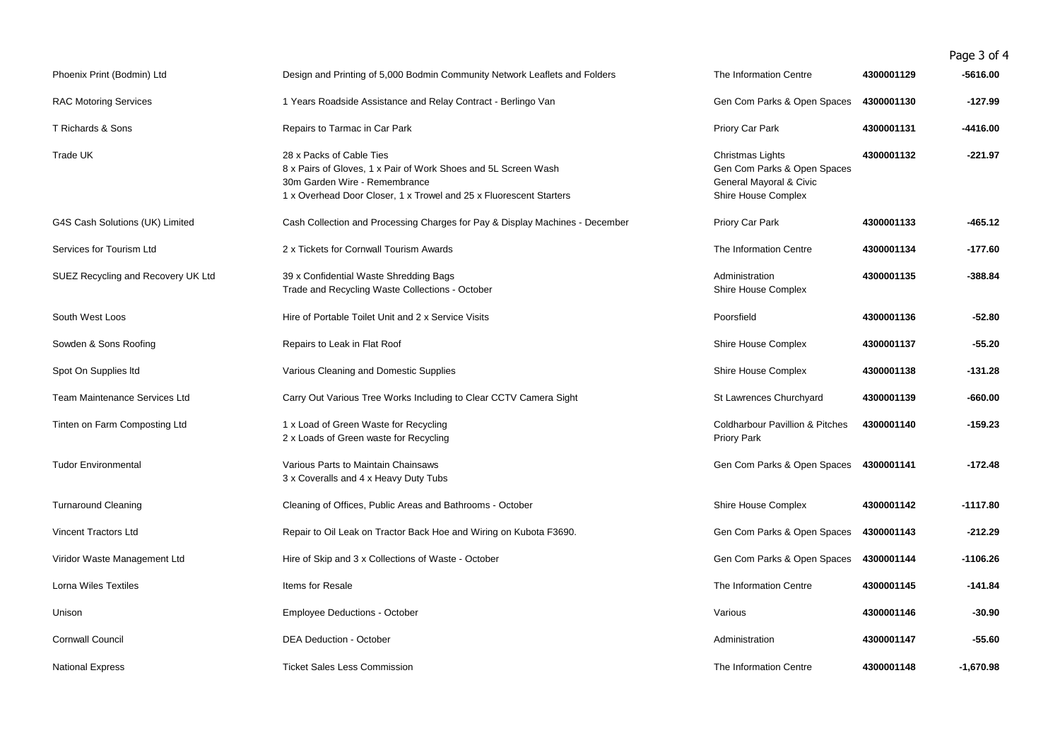Page 3 of 4

| Phoenix Print (Bodmin) Ltd           | Design and Printing of 5,000 Bodmin Community Network Leaflets and Folders                                                                                                                        | The Information Centre                                                                            | 4300001129 | -5616.00    |
|--------------------------------------|---------------------------------------------------------------------------------------------------------------------------------------------------------------------------------------------------|---------------------------------------------------------------------------------------------------|------------|-------------|
| <b>RAC Motoring Services</b>         | 1 Years Roadside Assistance and Relay Contract - Berlingo Van                                                                                                                                     | Gen Com Parks & Open Spaces                                                                       | 4300001130 | $-127.99$   |
| T Richards & Sons                    | Repairs to Tarmac in Car Park                                                                                                                                                                     | Priory Car Park                                                                                   | 4300001131 | -4416.00    |
| Trade UK                             | 28 x Packs of Cable Ties<br>8 x Pairs of Gloves, 1 x Pair of Work Shoes and 5L Screen Wash<br>30m Garden Wire - Remembrance<br>1 x Overhead Door Closer, 1 x Trowel and 25 x Fluorescent Starters | Christmas Lights<br>Gen Com Parks & Open Spaces<br>General Mayoral & Civic<br>Shire House Complex | 4300001132 | -221.97     |
| G4S Cash Solutions (UK) Limited      | Cash Collection and Processing Charges for Pay & Display Machines - December                                                                                                                      | Priory Car Park                                                                                   | 4300001133 | $-465.12$   |
| Services for Tourism Ltd             | 2 x Tickets for Cornwall Tourism Awards                                                                                                                                                           | The Information Centre                                                                            | 4300001134 | -177.60     |
| SUEZ Recycling and Recovery UK Ltd   | 39 x Confidential Waste Shredding Bags<br>Trade and Recycling Waste Collections - October                                                                                                         | Administration<br>Shire House Complex                                                             | 4300001135 | $-388.84$   |
| South West Loos                      | Hire of Portable Toilet Unit and 2 x Service Visits                                                                                                                                               | Poorsfield                                                                                        | 4300001136 | $-52.80$    |
| Sowden & Sons Roofing                | Repairs to Leak in Flat Roof                                                                                                                                                                      | Shire House Complex                                                                               | 4300001137 | $-55.20$    |
| Spot On Supplies Itd                 | Various Cleaning and Domestic Supplies                                                                                                                                                            | Shire House Complex                                                                               | 4300001138 | -131.28     |
| <b>Team Maintenance Services Ltd</b> | Carry Out Various Tree Works Including to Clear CCTV Camera Sight                                                                                                                                 | St Lawrences Churchyard                                                                           | 4300001139 | -660.00     |
| Tinten on Farm Composting Ltd        | 1 x Load of Green Waste for Recycling<br>2 x Loads of Green waste for Recycling                                                                                                                   | <b>Coldharbour Pavillion &amp; Pitches</b><br><b>Priory Park</b>                                  | 4300001140 | -159.23     |
| <b>Tudor Environmental</b>           | Various Parts to Maintain Chainsaws<br>3 x Coveralls and 4 x Heavy Duty Tubs                                                                                                                      | Gen Com Parks & Open Spaces                                                                       | 4300001141 | $-172.48$   |
| <b>Turnaround Cleaning</b>           | Cleaning of Offices, Public Areas and Bathrooms - October                                                                                                                                         | Shire House Complex                                                                               | 4300001142 | $-1117.80$  |
| Vincent Tractors Ltd                 | Repair to Oil Leak on Tractor Back Hoe and Wiring on Kubota F3690.                                                                                                                                | Gen Com Parks & Open Spaces                                                                       | 4300001143 | -212.29     |
| Viridor Waste Management Ltd         | Hire of Skip and 3 x Collections of Waste - October                                                                                                                                               | Gen Com Parks & Open Spaces                                                                       | 4300001144 | $-1106.26$  |
| <b>Lorna Wiles Textiles</b>          | Items for Resale                                                                                                                                                                                  | The Information Centre                                                                            | 4300001145 | $-141.84$   |
| Unison                               | <b>Employee Deductions - October</b>                                                                                                                                                              | Various                                                                                           | 4300001146 | $-30.90$    |
| <b>Cornwall Council</b>              | <b>DEA Deduction - October</b>                                                                                                                                                                    | Administration                                                                                    | 4300001147 | $-55.60$    |
| <b>National Express</b>              | <b>Ticket Sales Less Commission</b>                                                                                                                                                               | The Information Centre                                                                            | 4300001148 | $-1,670.98$ |